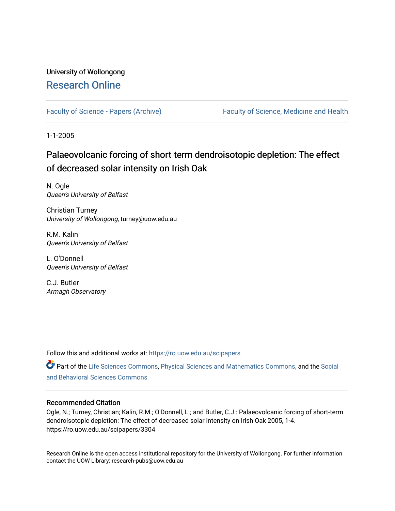# University of Wollongong [Research Online](https://ro.uow.edu.au/)

[Faculty of Science - Papers \(Archive\)](https://ro.uow.edu.au/scipapers) Faculty of Science, Medicine and Health

1-1-2005

# Palaeovolcanic forcing of short-term dendroisotopic depletion: The effect of decreased solar intensity on Irish Oak

N. Ogle Queen's University of Belfast

Christian Turney University of Wollongong, turney@uow.edu.au

R.M. Kalin Queen's University of Belfast

L. O'Donnell Queen's University of Belfast

C.J. Butler Armagh Observatory

Follow this and additional works at: [https://ro.uow.edu.au/scipapers](https://ro.uow.edu.au/scipapers?utm_source=ro.uow.edu.au%2Fscipapers%2F3304&utm_medium=PDF&utm_campaign=PDFCoverPages)

Part of the [Life Sciences Commons,](http://network.bepress.com/hgg/discipline/1016?utm_source=ro.uow.edu.au%2Fscipapers%2F3304&utm_medium=PDF&utm_campaign=PDFCoverPages) [Physical Sciences and Mathematics Commons,](http://network.bepress.com/hgg/discipline/114?utm_source=ro.uow.edu.au%2Fscipapers%2F3304&utm_medium=PDF&utm_campaign=PDFCoverPages) and the [Social](http://network.bepress.com/hgg/discipline/316?utm_source=ro.uow.edu.au%2Fscipapers%2F3304&utm_medium=PDF&utm_campaign=PDFCoverPages)  [and Behavioral Sciences Commons](http://network.bepress.com/hgg/discipline/316?utm_source=ro.uow.edu.au%2Fscipapers%2F3304&utm_medium=PDF&utm_campaign=PDFCoverPages) 

### Recommended Citation

Ogle, N.; Turney, Christian; Kalin, R.M.; O'Donnell, L.; and Butler, C.J.: Palaeovolcanic forcing of short-term dendroisotopic depletion: The effect of decreased solar intensity on Irish Oak 2005, 1-4. https://ro.uow.edu.au/scipapers/3304

Research Online is the open access institutional repository for the University of Wollongong. For further information contact the UOW Library: research-pubs@uow.edu.au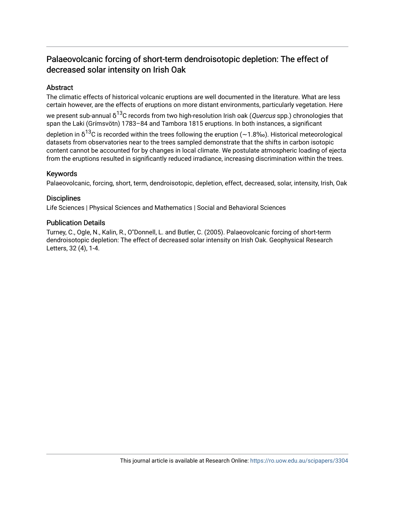# Palaeovolcanic forcing of short-term dendroisotopic depletion: The effect of decreased solar intensity on Irish Oak

### Abstract

The climatic effects of historical volcanic eruptions are well documented in the literature. What are less certain however, are the effects of eruptions on more distant environments, particularly vegetation. Here we present sub-annual  $\rm{ \delta^{13}C}$  records from two high-resolution Irish oak (*Quercus* spp.) chronologies that span the Laki (Grímsvötn) 1783–84 and Tambora 1815 eruptions. In both instances, a significant depletion in δ $^{13}$ C is recorded within the trees following the eruption (~1.8‰). Historical meteorological

datasets from observatories near to the trees sampled demonstrate that the shifts in carbon isotopic content cannot be accounted for by changes in local climate. We postulate atmospheric loading of ejecta from the eruptions resulted in significantly reduced irradiance, increasing discrimination within the trees.

### Keywords

Palaeovolcanic, forcing, short, term, dendroisotopic, depletion, effect, decreased, solar, intensity, Irish, Oak

### **Disciplines**

Life Sciences | Physical Sciences and Mathematics | Social and Behavioral Sciences

### Publication Details

Turney, C., Ogle, N., Kalin, R., O''Donnell, L. and Butler, C. (2005). Palaeovolcanic forcing of short-term dendroisotopic depletion: The effect of decreased solar intensity on Irish Oak. Geophysical Research Letters, 32 (4), 1-4.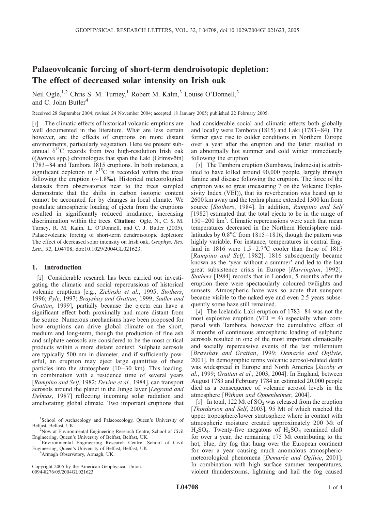## Palaeovolcanic forcing of short-term dendroisotopic depletion: The effect of decreased solar intensity on Irish oak

Neil Ogle,<sup>1,2</sup> Chris S. M. Turney,<sup>1</sup> Robert M. Kalin,<sup>3</sup> Louise O'Donnell,<sup>3</sup> and C. John Butler<sup>4</sup>

Received 28 September 2004; revised 24 November 2004; accepted 18 January 2005; published 22 February 2005.

[1] The climatic effects of historical volcanic eruptions are well documented in the literature. What are less certain however, are the effects of eruptions on more distant environments, particularly vegetation. Here we present subannual  $\delta^{13}$ C records from two high-resolution Irish oak  $(Quercus$  spp.) chronologies that span the Laki (Grimsvötn) 1783 – 84 and Tambora 1815 eruptions. In both instances, a significant depletion in  $\delta^{13}$ C is recorded within the trees following the eruption  $(\sim 1.8\%)$ . Historical meteorological datasets from observatories near to the trees sampled demonstrate that the shifts in carbon isotopic content cannot be accounted for by changes in local climate. We postulate atmospheric loading of ejecta from the eruptions resulted in significantly reduced irradiance, increasing discrimination within the trees. Citation: Ogle, N., C. S. M. Turney, R. M. Kalin, L. O'Donnell, and C. J. Butler (2005), Palaeovolcanic forcing of short-term dendroisotopic depletion: The effect of decreased solar intensity on Irish oak, Geophys. Res. Lett., 32, L04708, doi:10.1029/2004GL021623.

#### 1. Introduction

[2] Considerable research has been carried out investigating the climatic and social repercussions of historical volcanic eruptions [e.g., Zielinski et al., 1995; Stothers, 1996; Pyle, 1997; Brayshay and Grattan, 1999; Sadler and Grattan, 1999], partially because the ejecta can have a significant effect both proximally and more distant from the source. Numerous mechanisms have been proposed for how eruptions can drive global climate on the short, medium and long-term, though the production of fine ash and sulphate aerosols are considered to be the most critical products within a more distant context. Sulphate aerosols are typically 500 nm in diameter, and if sufficiently powerful, an eruption may eject large quantities of these particles into the stratosphere  $(10-30 \text{ km})$ . This loading, in combination with a residence time of several years [Rampino and Self, 1982; Devine et al., 1984], can transport aerosols around the planet in the Junge layer [Legrand and Delmas, 1987] reflecting incoming solar radiation and ameliorating global climate. Two important eruptions that

Armagh Observatory, Armagh, UK.

Copyright 2005 by the American Geophysical Union. 0094-8276/05/2004GL021623

had considerable social and climatic effects both globally and locally were Tambora (1815) and Laki (1783 –84). The former gave rise to colder conditions in Northern Europe over a year after the eruption and the latter resulted in an abnormally hot summer and cold winter immediately following the eruption.

[3] The Tambora eruption (Sumbawa, Indonesia) is attributed to have killed around 90,000 people, largely through famine and disease following the eruption. The force of the eruption was so great (measuring 7 on the Volcanic Explosivity Index (VEI)), that its reverberation was heard up to 2600 km away and the tephra plume extended 1300 km from source [Stothers, 1984]. In addition, Rampino and Self [1982] estimated that the total ejecta to be in the range of 150–200 km<sup>3</sup>. Climatic repercussions were such that mean temperatures decreased in the Northern Hemisphere midlatitudes by  $0.8^{\circ}$ C from 1815–1816, though the pattern was highly variable. For instance, temperatures in central England in 1816 were  $1.5-2.7^{\circ}$ C cooler than those of 1815 [Rampino and Self, 1982]. 1816 subsequently became known as the 'year without a summer' and led to the last great subsistence crisis in Europe [Harrington, 1992]. Stothers [1984] records that in London, 5 months after the eruption there were spectacularly coloured twilights and sunsets. Atmospheric haze was so acute that sunspots became visible to the naked eye and even 2.5 years subsequently some haze still remained.

[4] The Icelandic Laki eruption of 1783–84 was not the most explosive eruption (VEI  $=$  4) especially when compared with Tambora, however the cumulative effect of 8 months of continuous atmospheric loading of sulphuric aerosols resulted in one of the most important climatically and socially repercussive events of the last millennium [Brayshay and Grattan, 1999; Demarée and Ogilvie, 2001]. In demographic terms volcanic aerosol-related death was widespread in Europe and North America [Jacoby et al., 1999; Grattan et al., 2003, 2004]. In England, between August 1783 and February 1784 an estimated 20,000 people died as a consequence of volcanic aerosol levels in the atmosphere [Witham and Oppenheimer, 2004].

[5] In total, 122 Mt of  $SO<sub>2</sub>$  was released from the eruption [Thordarson and Self, 2003], 95 Mt of which reached the upper troposphere/lower stratosphere where in contact with atmospheric moisture created approximately 200 Mt of  $H<sub>2</sub>SO<sub>4</sub>$ . Twenty-five megatons of  $H<sub>2</sub>SO<sub>4</sub>$  remained aloft for over a year, the remaining 175 Mt contributing to the hot, blue, dry fog that hung over the European continent for over a year causing much anomalous atmospheric/ meteorological phenomena [Demarée and Ogilvie, 2001]. In combination with high surface summer temperatures, violent thunderstorms, lightning and hail the fog caused

<sup>&</sup>lt;sup>1</sup>School of Archaeology and Palaeoecology, Queen's University of Belfast, Belfast, UK. <sup>2</sup>

<sup>&</sup>lt;sup>2</sup>Now at Environmental Engineering Research Centre, School of Civil Engineering, Queen's University of Belfast, Belfast, UK. <sup>3</sup>

<sup>&</sup>lt;sup>3</sup>Environmental Engineering Research Centre, School of Civil Engineering, Queen's University of Belfast, Belfast, UK. <sup>4</sup>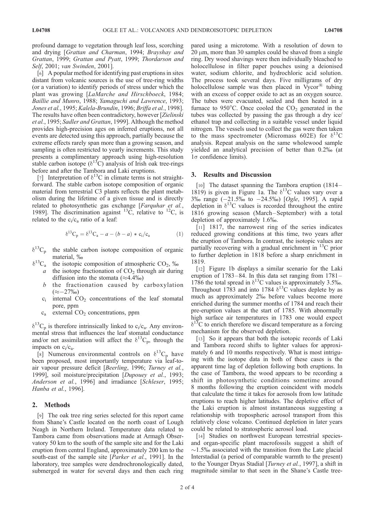profound damage to vegetation through leaf loss, scorching and drying [Grattan and Charman, 1994; Brayshay and Grattan, 1999; Grattan and Pyatt, 1999; Thordarson and Self, 2001; van Swinden, 2001].

[6] A popular method for identifying past eruptions in sites distant from volcanic sources is the use of tree-ring widths (or a variation) to identify periods of stress under which the plant was growing [LaMarche and Hirschboeck, 1984; Baillie and Munro, 1988; Yamaguchi and Lawrence, 1993; Jones et al., 1995; Kalela-Brundin, 1996; Briffa et al., 1998]. The results have often been contradictory, however [Zielinski et al., 1995; Sadler and Grattan, 1999]. Although the method provides high-precision ages on inferred eruptions, not all events are detected using this approach, partially because the extreme effects rarely span more than a growing season, and sampling is often restricted to yearly increments. This study presents a complimentary approach using high-resolution stable carbon isotope  $(\delta^{13}C)$  analysis of Irish oak tree-rings before and after the Tambora and Laki eruptions.

[7] Interpretation of  $\delta^{13}$ C in climate terms is not straightforward. The stable carbon isotope composition of organic material from terrestrial C3 plants reflects the plant metabolism during the lifetime of a given tissue and is directly related to photosynthetic gas exchange [Farquhar et al., 1989]. The discrimination against  $^{13}$ C, relative to  $^{12}$ C, is related to the  $c_i/c_a$  ratio of a leaf:

$$
\delta^{13}C_p = \delta^{13}C_a - a - (b - a) * c_i/c_a \tag{1}
$$

- $\delta^{13}C_p$  the stable carbon isotope composition of organic material, %
- $\delta^{13}$ C<sub>a</sub> the isotopic composition of atmospheric CO<sub>2</sub>, ‰
	- a the isotope fractionation of  $CO<sub>2</sub>$  through air during diffusion into the stomata  $(\approx 4.4\%)$
	- $b$  the fractionation caused by carboxylation  $(\approx -27\%)$
	- $c_i$  internal  $CO_2$  concentrations of the leaf stomatal pore, ppm
	- c<sub>a</sub> external CO<sub>2</sub> concentrations, ppm

 $\delta^{13}C_p$  is therefore intrinsically linked to c<sub>i</sub>/c<sub>a</sub>. Any environmental stress that influences the leaf stomatal conductance and/or net assimilation will affect the  $\delta^{13}C_p$ , through the impacts on  $c_i/c_a$ .

[8] Numerous environmental controls on  $\delta^{13}C_p$  have been proposed, most importantly temperature via leaf-toair vapour pressure deficit [Beerling, 1996; Turney et al., 1999], soil moisture/precipitation [Dupouey et al., 1993; Anderson et al., 1996] and irradiance [Schleser, 1995; Hanba et al., 1996].

#### 2. Methods

[9] The oak tree ring series selected for this report came from Shane's Castle located on the north coast of Lough Neagh in Northern Ireland. Temperature data related to Tambora came from observations made at Armagh Observatory 50 km to the south of the sample site and for the Laki eruption from central England, approximately 200 km to the south-east of the sample site [*Parker et al.*, 1991]. In the laboratory, tree samples were dendrochronologically dated, submerged in water for several days and then each ring pared using a microtome. With a resolution of down to  $20 \mu m$ , more than 30 samples could be shaved from a single ring. Dry wood shavings were then individually bleached to holocellulose in filter paper pouches using a deionised water, sodium chlorite, and hydrochloric acid solution. The process took several days. Five milligrams of dry holocellulose sample was then placed in Vycor $^{\circledR}$  tubing with an excess of copper oxide to act as an oxygen source. The tubes were evacuated, sealed and then heated in a furnace to 950 $\degree$ C. Once cooled the CO<sub>2</sub> generated in the tubes was collected by passing the gas through a dry ice/ ethanol trap and collecting in a suitable vessel under liquid nitrogen. The vessels used to collect the gas were then taken to the mass spectrometer (Micromass 602E) for  $\delta^{13}$ C analysis. Repeat analysis on the same wholewood sample yielded an analytical precision of better than 0.2% (at  $1\sigma$  confidence limits).

#### 3. Results and Discussion

[10] The dataset spanning the Tambora eruption (1814– 1819) is given in Figure 1a. The  $\delta^{13}$ C values vary over a  $3\%$  range  $(-21.5\%$  to  $-24.5\%$ ) [Ogle, 1995]. A rapid depletion in  $\delta^{13}$ C values is recorded throughout the entire 1816 growing season (March –September) with a total depletion of approximately 1.6%.

[11] 1817, the narrowest ring of the series indicates reduced growing conditions at this time, two years after the eruption of Tambora. In contrast, the isotopic values are partially recovering with a gradual enrichment in  $^{13}$ C prior to further depletion in 1818 before a sharp enrichment in 1819.

[12] Figure 1b displays a similar scenario for the Laki eruption of  $1783-84$ . In this data set ranging from  $1781-$ 1786 the total spread in  $\delta^{13}$ C values is approximately 3.5‰. Throughout 1783 and into 1784  $\delta^{13}$ C values deplete by as much as approximately 2% before values become more enriched during the summer months of 1784 and reach their pre-eruption values at the start of 1785. With abnormally high surface air temperatures in 1783 one would expect  $\delta^{13}$ C to enrich therefore we discard temperature as a forcing mechanism for the observed depletion.

[13] So it appears that both the isotopic records of Laki and Tambora record shifts to lighter values for approximately 6 and 10 months respectively. What is most intriguing with the isotope data in both of these cases is the apparent time lag of depletion following both eruptions. In the case of Tambora, the wood appears to be recording a shift in photosynthetic conditions sometime around 8 months following the eruption coincident with models that calculate the time it takes for aerosols from low latitude eruptions to reach higher latitudes. The depletive effect of the Laki eruption is almost instantaneous suggesting a relationship with tropospheric aerosol transport from this relatively close volcano. Continued depletion in later years could be related to stratospheric aerosol load.

[14] Studies on northwest European terrestrial speciesand organ-specific plant macrofossils suggest a shift of  $\sim$ 1.5% associated with the transition from the Late glacial Interstadial (a period of comparable warmth to the present) to the Younger Dryas Stadial [*Turney et al.*, 1997], a shift in magnitude similar to that seen in the Shane's Castle tree-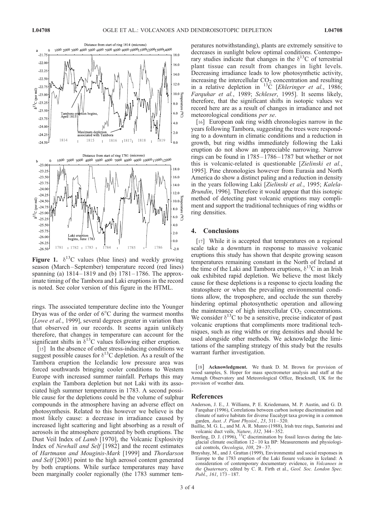

Figure 1.  $\delta^{13}$ C values (blue lines) and weekly growing season (March –September) temperature record (red lines) spanning (a)  $1814 - 1819$  and (b)  $1781 - 1786$ . The approximate timing of the Tambora and Laki eruptions in the record is noted. See color version of this figure in the HTML.

rings. The associated temperature decline into the Younger Dryas was of the order of  $6^{\circ}$ C during the warmest months [Lowe et al., 1999], several degrees greater in variation than that observed in our records. It seems again unlikely therefore, that changes in temperature can account for the significant shifts in  $\delta^{13}$ C values following either eruption.

[15] In the absence of other stress-inducing conditions we suggest possible causes for  $\delta^{13}$ C depletion. As a result of the Tambora eruption the Icelandic low pressure area was forced southwards bringing cooler conditions to Western Europe with increased summer rainfall. Perhaps this may explain the Tambora depletion but not Laki with its associated high summer temperatures in 1783. A second possible cause for the depletions could be the volume of sulphur compounds in the atmosphere having an adverse effect on photosynthesis. Related to this however we believe is the most likely cause: a decrease in irradiance caused by increased light scattering and light absorbing as a result of aerosols in the atmosphere generated by both eruptions. The Dust Veil Index of Lamb [1970], the Volcanic Explosivity Index of Newhall and Self [1982] and the recent estimates of Hartmann and Mouginis-Mark [1999] and Thordarson and Self [2003] point to the high aerosol content generated by both eruptions. While surface temperatures may have been marginally cooler regionally (the 1783 summer tem-

peratures notwithstanding), plants are extremely sensitive to decreases in sunlight below optimal conditions. Contemporary studies indicate that changes in the  $\delta^{13}$ C of terrestrial plant tissue can result from changes in light levels. Decreasing irradiance leads to low photosynthetic activity, increasing the intercellular  $CO<sub>2</sub>$  concentration and resulting in a relative depletion in  ${}^{13}\tilde{C}$  [Ehleringer et al., 1986; Farquhar et al., 1989; Schleser, 1995]. It seems likely, therefore, that the significant shifts in isotopic values we record here are as a result of changes in irradiance and not meteorological conditions per se.

[16] European oak ring width chronologies narrow in the years following Tambora, suggesting the trees were responding to a downturn in climatic conditions and a reduction in growth, but ring widths immediately following the Laki eruption do not show an appreciable narrowing. Narrow rings can be found in 1785 –1786 – 1787 but whether or not this is volcanic-related is questionable [Zielinski et al., 1995]. Pine chronologies however from Eurasia and North America do show a distinct paling and a reduction in density in the years following Laki [Zielinski et al., 1995; Kalela-Brundin, 1996]. Therefore it would appear that this isotopic method of detecting past volcanic eruptions may compliment and support the traditional techniques of ring widths or ring densities.

#### 4. Conclusions

[17] While it is accepted that temperatures on a regional scale take a downturn in response to massive volcanic eruptions this study has shown that despite growing season temperatures remaining constant in the North of Ireland at the time of the Laki and Tambora eruptions,  $\delta^{13}$ C in an Irish oak exhibited rapid depletion. We believe the most likely cause for these depletions is a response to ejecta loading the stratosphere or when the prevailing environmental conditions allow, the troposphere, and occlude the sun thereby hindering optimal photosynthetic operation and allowing the maintenance of high intercellular  $CO<sub>2</sub>$  concentrations. We consider  $\delta^{13}C$  to be a sensitive, precise indicator of past volcanic eruptions that compliments more traditional techniques, such as ring widths or ring densities and should be used alongside other methods. We acknowledge the limitations of the sampling strategy of this study but the results warrant further investigation.

[18] **Acknowledgment.** We thank D. M. Brown for provision of wood samples, S. Hoper for mass spectrometer analysis and staff at the Armagh Observatory and Meteorological Office, Bracknell, UK for the provision of weather data.

#### References

- Anderson, J. E., J. Williams, P. E. Kriedemann, M. P. Austin, and G. D. Farquhar (1996), Correlations between carbon isotope discrimination and climate of native habitats for diverse Eucalypt taxa growing in a common garden, Aust. J. Plant Physiol., 23, 311 – 320.
- Baillie, M. G. L., and M. A. R. Munro (1988), Irish tree rings, Santorini and
- volcanic duct veils, *Nature*, 332, 344–352.<br>Beerling, D. J. (1996), <sup>13</sup>C discrimination by fossil leaves during the lateglacial climate oscillation 12 – 10 ka BP: Measurements and physiological controls, Oecologia, 108, 29-37.
- Brayshay, M., and J. Grattan (1999), Environmental and social responses in Europe to the 1783 eruption of the Laki fissure volcano in Iceland: A consideration of contemporary documentary evidence, in Volcanoes in the Quaternary, edited by C. R. Firth et al., Geol. Soc. London Spec. Publ., 161, 173-187.